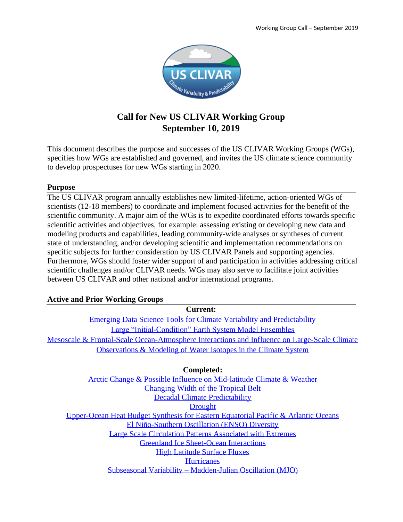

## **Call for New US CLIVAR Working Group September 10, 2019**

This document describes the purpose and successes of the US CLIVAR Working Groups (WGs), specifies how WGs are established and governed, and invites the US climate science community to develop prospectuses for new WGs starting in 2020.

## **Purpose**

The US CLIVAR program annually establishes new limited-lifetime, action-oriented WGs of scientists (12-18 members) to coordinate and implement focused activities for the benefit of the scientific community. A major aim of the WGs is to expedite coordinated efforts towards specific scientific activities and objectives, for example: assessing existing or developing new data and modeling products and capabilities, leading community-wide analyses or syntheses of current state of understanding, and/or developing scientific and implementation recommendations on specific subjects for further consideration by US CLIVAR Panels and supporting agencies. Furthermore, WGs should foster wider support of and participation in activities addressing critical scientific challenges and/or CLIVAR needs. WGs may also serve to facilitate joint activities between US CLIVAR and other national and/or international programs.

## **Active and Prior Working Groups**

**Current:**

[Emerging Data Science Tools for Climate Variability and Predictability](https://usclivar.org/sites/default/files/documents/2019/2019-WG-Prospectus-Data-Science.pdf) [Large "Initial-Condition" Earth System Model Ensembles](https://usclivar.org/working-groups/large-ensemble-working-group) Mesoscale & [Frontal-Scale Ocean-Atmosphere Interactions and Influence on Large-Scale Climate](https://usclivar.org/sites/default/files/documents/2019/2019-WG-Prospectus-Air-Sea-Interactions.pdf) Observations & [Modeling of Water Isotopes in the Climate System](https://usclivar.org/working-groups/water-isotopes-working-group)

**Completed:**

Arctic Change & [Possible Influence on Mid-latitude Climate &](http://usclivar.org/working-groups/arctic-midlatitude-working-group) Weather [Changing Width of the Tropical Belt](https://usclivar.org/working-groups/changing-width-tropical-belt-working-group) Decadal Climate [Predictability](http://usclivar.org/working-groups/decadal-predictability) **[Drought](http://usclivar.org/working-groups/drought)** [Upper-Ocean Heat Budget Synthesis for Eastern Equatorial Pacific & Atlantic](http://usclivar.org/working-groups/etos) Oceans [El Niño-Southern Oscillation \(ENSO\)](http://usclivar.org/working-groups/enso) Diversity Large Scale [Circulation Patterns Associated with Extremes](http://usclivar.org/working-groups/extremes) [Greenland Ice Sheet-Ocean Interactions](http://usclivar.org/working-groups/greenland-ice-sheet-ocean-interactions) [High Latitude Surface Fluxes](http://usclivar.org/working-groups/high-lat-surface-flux) **[Hurricanes](http://usclivar.org/working-groups/hurricane)** Subseasonal Variability – [Madden-Julian Oscillation \(MJO\)](http://usclivar.org/working-groups/mjo)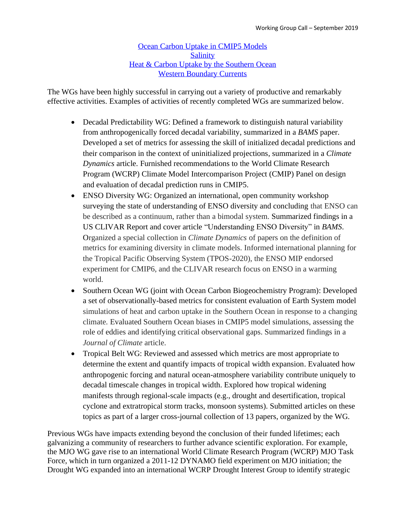[Ocean Carbon Uptake in CMIP5 Models](http://usclivar.org/working-groups/ocu) **[Salinity](http://usclivar.org/working-groups/salinity)** [Heat & Carbon Uptake by the Southern Ocean](http://usclivar.org/working-groups/southern-ocean) [Western Boundary Currents](http://usclivar.org/working-groups/western-boundary-current)

The WGs have been highly successful in carrying out a variety of productive and remarkably effective activities. Examples of activities of recently completed WGs are summarized below.

- Decadal Predictability WG: Defined a framework to distinguish natural variability from anthropogenically forced decadal variability, summarized in a *BAMS* paper. Developed a set of metrics for assessing the skill of initialized decadal predictions and their comparison in the context of uninitialized projections, summarized in a *Climate Dynamics* article. Furnished recommendations to the World Climate Research Program (WCRP) Climate Model Intercomparison Project (CMIP) Panel on design and evaluation of decadal prediction runs in CMIP5.
- ENSO Diversity WG: Organized an international, open community workshop surveying the state of understanding of ENSO diversity and concluding that ENSO can be described as a continuum, rather than a bimodal system. Summarized findings in a US CLIVAR Report and cover article "Understanding ENSO Diversity" in *BAMS*. Organized a special collection in *Climate Dynamics* of papers on the definition of metrics for examining diversity in climate models. Informed international planning for the Tropical Pacific Observing System (TPOS-2020), the ENSO MIP endorsed experiment for CMIP6, and the CLIVAR research focus on ENSO in a warming world.
- Southern Ocean WG (joint with Ocean Carbon Biogeochemistry Program): Developed a set of observationally-based metrics for consistent evaluation of Earth System model simulations of heat and carbon uptake in the Southern Ocean in response to a changing climate. Evaluated Southern Ocean biases in CMIP5 model simulations, assessing the role of eddies and identifying critical observational gaps. Summarized findings in a *Journal of Climate* article.
- Tropical Belt WG: Reviewed and assessed which metrics are most appropriate to determine the extent and quantify impacts of tropical width expansion. Evaluated how anthropogenic forcing and natural ocean-atmosphere variability contribute uniquely to decadal timescale changes in tropical width. Explored how tropical widening manifests through regional-scale impacts (e.g., drought and desertification, tropical cyclone and extratropical storm tracks, monsoon systems). Submitted articles on these topics as part of a larger cross-journal collection of 13 papers, organized by the WG.

Previous WGs have impacts extending beyond the conclusion of their funded lifetimes; each galvanizing a community of researchers to further advance scientific exploration. For example, the MJO WG gave rise to an international World Climate Research Program (WCRP) MJO Task Force, which in turn organized a 2011-12 DYNAMO field experiment on MJO initiation; the Drought WG expanded into an international WCRP Drought Interest Group to identify strategic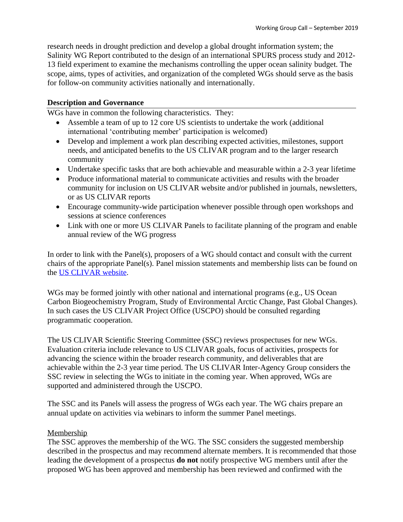research needs in drought prediction and develop a global drought information system; the Salinity WG Report contributed to the design of an international SPURS process study and 2012- 13 field experiment to examine the mechanisms controlling the upper ocean salinity budget. The scope, aims, types of activities, and organization of the completed WGs should serve as the basis for follow-on community activities nationally and internationally.

#### **Description and Governance**

WGs have in common the following characteristics. They:

- Assemble a team of up to 12 core US scientists to undertake the work (additional international 'contributing member' participation is welcomed)
- Develop and implement a work plan describing expected activities, milestones, support needs, and anticipated benefits to the US CLIVAR program and to the larger research community
- Undertake specific tasks that are both achievable and measurable within a 2-3 year lifetime
- Produce informational material to communicate activities and results with the broader community for inclusion on US CLIVAR website and/or published in journals, newsletters, or as US CLIVAR reports
- Encourage community-wide participation whenever possible through open workshops and sessions at science conferences
- Link with one or more US CLIVAR Panels to facilitate planning of the program and enable annual review of the WG progress

In order to link with the Panel(s), proposers of a WG should contact and consult with the current chairs of the appropriate Panel(s). Panel mission statements and membership lists can be found on the [US CLIVAR website.](https://usclivar.org/panels/descriptions)

WGs may be formed jointly with other national and international programs (e.g., US Ocean Carbon Biogeochemistry Program, Study of Environmental Arctic Change, Past Global Changes). In such cases the US CLIVAR Project Office (USCPO) should be consulted regarding programmatic cooperation.

The US CLIVAR Scientific Steering Committee (SSC) reviews prospectuses for new WGs. Evaluation criteria include relevance to US CLIVAR goals, focus of activities, prospects for advancing the science within the broader research community, and deliverables that are achievable within the 2-3 year time period. The US CLIVAR Inter-Agency Group considers the SSC review in selecting the WGs to initiate in the coming year. When approved, WGs are supported and administered through the USCPO.

The SSC and its Panels will assess the progress of WGs each year. The WG chairs prepare an annual update on activities via webinars to inform the summer Panel meetings.

### Membership

The SSC approves the membership of the WG. The SSC considers the suggested membership described in the prospectus and may recommend alternate members. It is recommended that those leading the development of a prospectus **do not** notify prospective WG members until after the proposed WG has been approved and membership has been reviewed and confirmed with the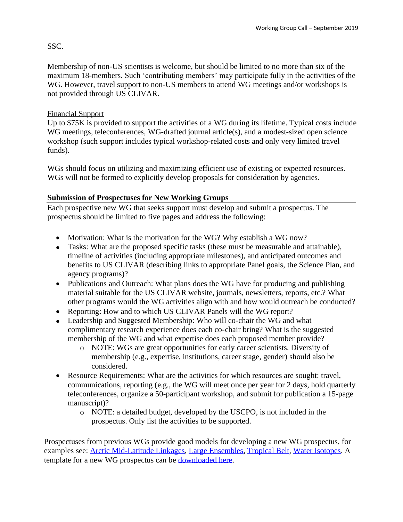## SSC.

Membership of non-US scientists is welcome, but should be limited to no more than six of the maximum 18-members. Such 'contributing members' may participate fully in the activities of the WG. However, travel support to non-US members to attend WG meetings and/or workshops is not provided through US CLIVAR.

## Financial Support

Up to \$75K is provided to support the activities of a WG during its lifetime. Typical costs include WG meetings, teleconferences, WG-drafted journal article(s), and a modest-sized open science workshop (such support includes typical workshop-related costs and only very limited travel funds).

WGs should focus on utilizing and maximizing efficient use of existing or expected resources. WGs will not be formed to explicitly develop proposals for consideration by agencies.

### **Submission of Prospectuses for New Working Groups**

Each prospective new WG that seeks support must develop and submit a prospectus. The prospectus should be limited to five pages and address the following:

- Motivation: What is the motivation for the WG? Why establish a WG now?
- Tasks: What are the proposed specific tasks (these must be measurable and attainable), timeline of activities (including appropriate milestones), and anticipated outcomes and benefits to US CLIVAR (describing links to appropriate Panel goals, the Science Plan, and agency programs)?
- Publications and Outreach: What plans does the WG have for producing and publishing material suitable for the US CLIVAR website, journals, newsletters, reports, etc.? What other programs would the WG activities align with and how would outreach be conducted?
- Reporting: How and to which US CLIVAR Panels will the WG report?
- Leadership and Suggested Membership: Who will co-chair the WG and what complimentary research experience does each co-chair bring? What is the suggested membership of the WG and what expertise does each proposed member provide?
	- o NOTE: WGs are great opportunities for early career scientists. Diversity of membership (e.g., expertise, institutions, career stage, gender) should also be considered.
- Resource Requirements: What are the activities for which resources are sought: travel, communications, reporting (e.g., the WG will meet once per year for 2 days, hold quarterly teleconferences, organize a 50-participant workshop, and submit for publication a 15-page manuscript)?
	- o NOTE: a detailed budget, developed by the USCPO, is not included in the prospectus. Only list the activities to be supported.

Prospectuses from previous WGs provide good models for developing a new WG prospectus, for examples see: [Arctic Mid-Latitude Linkages,](https://usclivar.org/sites/default/files/documents/2015/Arctic-Working-Group-Prospectus-Final.pdf) [Large Ensembles,](https://usclivar.org/sites/default/files/documents/2018/Prospectus%20US%20CLIVAR%20WG%20on%20Large%20Ensembles%20.pdf) [Tropical Belt,](https://usclivar.org/sites/default/files/documents/2016/Prospectus_TropicalBelt.pdf) [Water Isotopes.](https://usclivar.org/sites/default/files/documents/2018/FINAL_Water_Isotopes_US%20Clivar.pdf) A template for a new WG prospectus can be [downloaded here.](https://usclivar.org/working-groups)